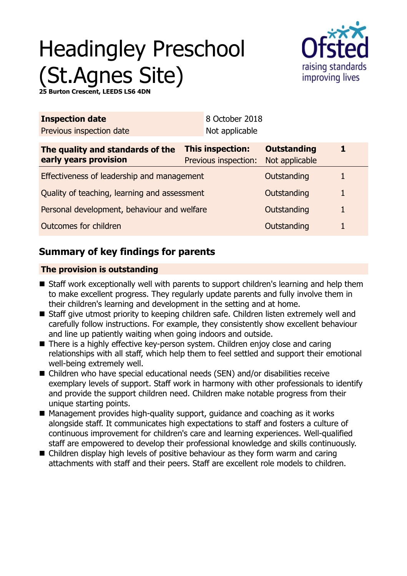# Headingley Preschool (St.Agnes Site)



**25 Burno Crescent, LEEDS LS6 4DI** 

| <b>Inspection date</b>                                    |                                          | 8 October 2018                       |   |  |
|-----------------------------------------------------------|------------------------------------------|--------------------------------------|---|--|
| Previous inspection date                                  | Not applicable                           |                                      |   |  |
| The quality and standards of the<br>early years provision | This inspection:<br>Previous inspection: | <b>Outstanding</b><br>Not applicable |   |  |
| Effectiveness of leadership and management                |                                          | Outstanding                          |   |  |
| Quality of teaching, learning and assessment              |                                          | Outstanding                          | 1 |  |
| Personal development, behaviour and welfare               |                                          | Outstanding                          |   |  |
| Outcomes for children                                     |                                          | Outstanding                          |   |  |
|                                                           |                                          |                                      |   |  |

## **Summary of key findings for parents**

## **The provision is outstanding**

- Staff work exceptionally well with parents to support children's learning and help them to make excellent progress. They regularly update parents and fully involve them in their children's learning and development in the setting and at home.
- Staff give utmost priority to keeping children safe. Children listen extremely well and carefully follow instructions. For example, they consistently show excellent behaviour and line up patiently waiting when going indoors and outside.
- There is a highly effective key-person system. Children enjoy close and caring relationships with all staff, which help them to feel settled and support their emotional well-being extremely well.
- $\blacksquare$  Children who have special educational needs (SEN) and/or disabilities receive exemplary levels of support. Staff work in harmony with other professionals to identify and provide the support children need. Children make notable progress from their unique starting points.
- $\blacksquare$  Management provides high-quality support, guidance and coaching as it works alongside staff. It communicates high expectations to staff and fosters a culture of continuous improvement for children's care and learning experiences. Well-qualified staff are empowered to develop their professional knowledge and skills continuously.
- $\blacksquare$  Children display high levels of positive behaviour as they form warm and caring attachments with staff and their peers. Staff are excellent role models to children.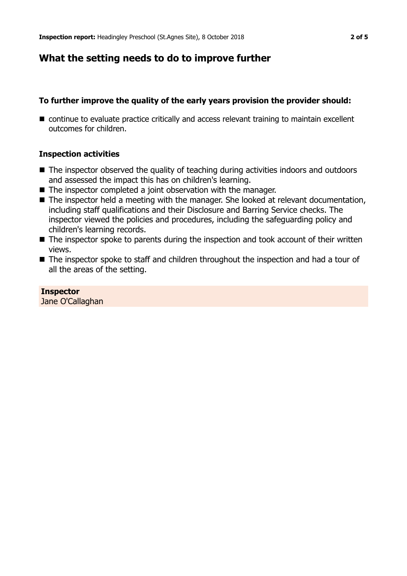## **What the setting needs to do to improve further**

## **To further improve the quality of the early years provision the provider should:**

 $\blacksquare$  continue to evaluate practice critically and access relevant training to maintain excellent outcomes for children.

#### **Inspection activities**

- $\blacksquare$  The inspector observed the quality of teaching during activities indoors and outdoors and assessed the impact this has on children's learning.
- $\blacksquare$  The inspector completed a joint observation with the manager.
- The inspector held a meeting with the manager. She looked at relevant documentation, including staff qualifications and their Disclosure and Barring Service checks. The inspector viewed the policies and procedures, including the safeguarding policy and children's learning records.
- $\blacksquare$  The inspector spoke to parents during the inspection and took account of their written views.
- $\blacksquare$  The inspector spoke to staff and children throughout the inspection and had a tour of all the areas of the setting.

## **Inspector**

Jane O'Callaghan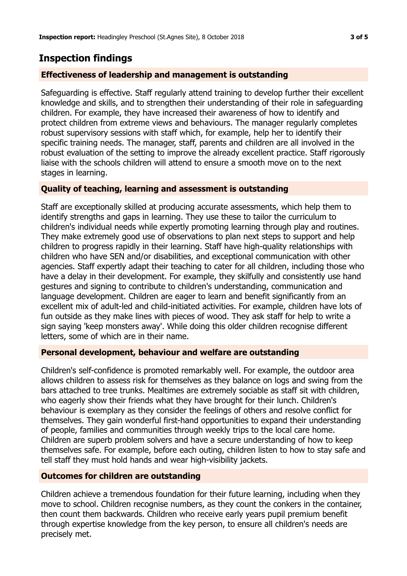## **Inspection findings**

## **Effectiveness of leadership and management is outstanding**

Safeguarding is effective. Staff regularly attend training to develop further their excellent knowledge and skills, and to strengthen their understanding of their role in safeguarding children. For example, they have increased their awareness of how to identify and protect children from extreme views and behaviours. The manager regularly completes robust supervisory sessions with staff which, for example, help her to identify their specific training needs. The manager, staff, parents and children are all involved in the robust evaluation of the setting to improve the already excellent practice. Staff rigorously liaise with the schools children will attend to ensure a smooth move on to the next stages in learning.

## **Quality of teaching, learning and assessment is outstanding**

Staff are exceptionally skilled at producing accurate assessments, which help them to identify strengths and gaps in learning. They use these to tailor the curriculum to children's individual needs while expertly promoting learning through play and routines. They make extremely good use of observations to plan next steps to support and help children to progress rapidly in their learning. Staff have high-quality relationships with children who have SEN and/or disabilities, and exceptional communication with other agencies. Staff expertly adapt their teaching to cater for all children, including those who have a delay in their development. For example, they skilfully and consistently use hand gestures and signing to contribute to children's understanding, communication and language development. Children are eager to learn and benefit significantly from an excellent mix of adult-led and child-initiated activities. For example, children have lots of fun outside as they make lines with pieces of wood. They ask staff for help to write a sign saying 'keep monsters away'. While doing this older children recognise different letters, some of which are in their name.

#### **Personal development, behaviour and welfare are outstanding**

Children's self-confidence is promoted remarkably well. For example, the outdoor area allows children to assess risk for themselves as they balance on logs and swing from the bars attached to tree trunks. Mealtimes are extremely sociable as staff sit with children, who eagerly show their friends what they have brought for their lunch. Children's behaviour is exemplary as they consider the feelings of others and resolve conflict for themselves. They gain wonderful first-hand opportunities to expand their understanding of people, families and communities through weekly trips to the local care home. Children are superb problem solvers and have a secure understanding of how to keep themselves safe. For example, before each outing, children listen to how to stay safe and tell staff they must hold hands and wear high-visibility jackets.

#### **Outcomes for children are outstanding**

Children achieve a tremendous foundation for their future learning, including when they move to school. Children recognise numbers, as they count the conkers in the container, then count them backwards. Children who receive early years pupil premium benefit through expertise knowledge from the key person, to ensure all children's needs are precisely met.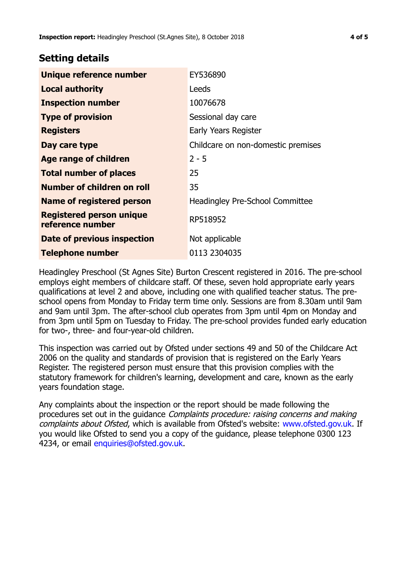## **Setting details**

| Unique reference number                             | EY536890                               |
|-----------------------------------------------------|----------------------------------------|
| <b>Local authority</b>                              | Leeds                                  |
| <b>Inspection number</b>                            | 10076678                               |
| <b>Type of provision</b>                            | Sessional day care                     |
| <b>Registers</b>                                    | Early Years Register                   |
| Day care type                                       | Childcare on non-domestic premises     |
| Age range of children                               | $2 - 5$                                |
| <b>Total number of places</b>                       | 25                                     |
| Number of children on roll                          | 35                                     |
| <b>Name of registered person</b>                    | <b>Headingley Pre-School Committee</b> |
| <b>Registered person unique</b><br>reference number | RP518952                               |
| Date of previous inspection                         | Not applicable                         |
| <b>Telephone number</b>                             | 0113 2304035                           |

Headingley Preschool (St Agnes Site) Burton Crescent registered in 2016. The pre-school employs eight members of childcare staff. Of these, seven hold appropriate early years qualifications at level 2 and above, including one with qualified teacher status. The preschool opens from Monday to Friday term time only. Sessions are from 8.30am until 9am and 9am until 3pm. The after-school club operates from 3pm until 4pm on Monday and from 3pm until 5pm on Tuesday to Friday. The pre-school provides funded early education for two-, three- and four-year-old children.

This inspection was carried out by Ofsted under sections 49 and 50 of the Childcare Act 2006 on the quality and standards of provision that is registered on the Early Years Register. The registered person must ensure that this provision complies with the statutory framework for children's learning, development and care, known as the early years foundation stage.

Any complaints about the inspection or the report should be made following the procedures set out in the guidance Complaints procedure: raising concerns and making complaints about Ofsted, which is available from Ofsted's website: www.ofsted.gov.uk. If you would like Ofsted to send you a copy of the guidance, please telephone 0300 123 4234, or email [enquiries@ofsted.gov.uk.](mailto:enquiries@ofsted.gov.uk)